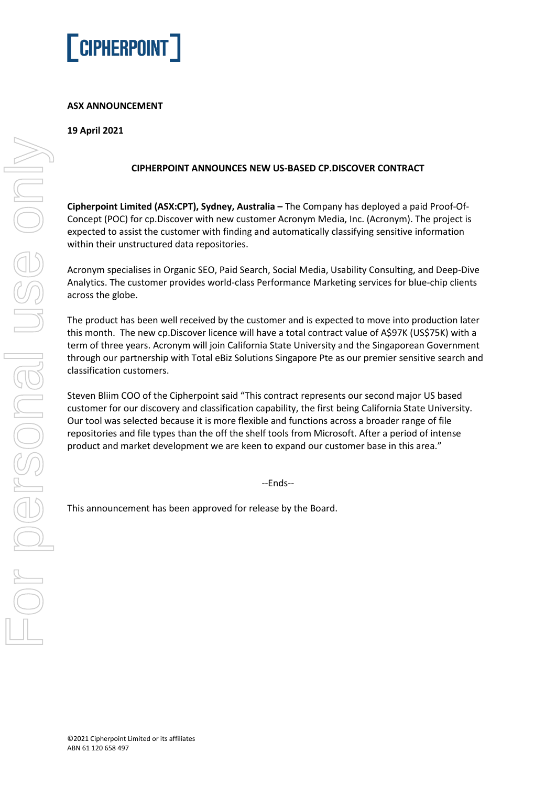

# **ASX ANNOUNCEMENT**

# **19 April 2021**

### **CIPHERPOINT ANNOUNCES NEW US-BASED CP.DISCOVER CONTRACT**

**Cipherpoint Limited (ASX:CPT), Sydney, Australia –** The Company has deployed a paid Proof-Of-Concept (POC) for cp.Discover with new customer Acronym Media, Inc. (Acronym). The project is expected to assist the customer with finding and automatically classifying sensitive information within their unstructured data repositories.

Acronym specialises in Organic SEO, Paid Search, Social Media, Usability Consulting, and Deep-Dive Analytics. The customer provides world-class Performance Marketing services for blue-chip clients across the globe.

The product has been well received by the customer and is expected to move into production later this month. The new cp.Discover licence will have a total contract value of A\$97K (US\$75K) with a term of three years. Acronym will join California State University and the Singaporean Government through our partnership with Total eBiz Solutions Singapore Pte as our premier sensitive search and classification customers.

Steven Bliim COO of the Cipherpoint said "This contract represents our second major US based customer for our discovery and classification capability, the first being California State University. Our tool was selected because it is more flexible and functions across a broader range of file repositories and file types than the off the shelf tools from Microsoft. After a period of intense product and market development we are keen to expand our customer base in this area."

--Ends--

This announcement has been approved for release by the Board.